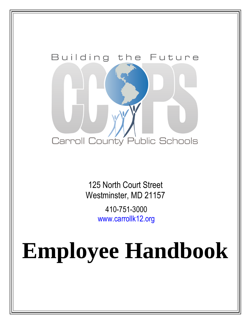

125 North Court Street Westminster, MD 21157 410-751-3000 www.carrollk12.org

# **Employee Handbook**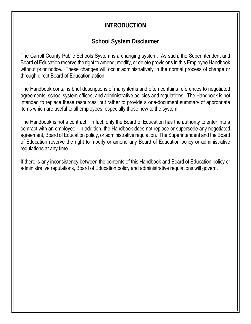## **INTRODUCTION**

## **School System Disclaimer**

The Carroll County Public Schools System is a changing system. As such, the Superintendent and Board of Education reserve the right to amend, modify, or delete provisions in this Employee Handbook without prior notice. These changes will occur administratively in the normal process of change or through direct Board of Education action.

The Handbook contains brief descriptions of many items and often contains references to negotiated agreements, school system offices, and administrative policies and regulations. The Handbook is not intended to replace these resources, but rather to provide a one-document summary of appropriate items which are useful to all employees, especially those new to the system.

The Handbook is not a contract. In fact, only the Board of Education has the authority to enter into a contract with an employee. In addition, the Handbook does not replace or supersede any negotiated agreement, Board of Education policy, or administrative regulation. The Superintendent and the Board of Education reserve the right to modify or amend any Board of Education policy or administrative regulations at any time.

If there is any inconsistency between the contents of this Handbook and Board of Education policy or administrative regulations, Board of Education policy and administrative regulations will govern.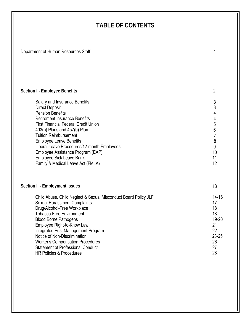## **TABLE OF CONTENTS**

Department of Human Resources Staff 1 1 200 1 200 1 200 1 200 1 200 1 200 1 200 1 200 1 200 1 200 1 200 1 200 1 200 1 200 1 200 1 200 1 200 1 200 1 200 1 200 1 200 1 200 1 200 1 200 1 200 1 200 1 200 1 200 1 200 1 200 1 20

HR Policies & Procedures

28

| Section I - Employee Benefits                                                                                                                                                                                                                                                                                                                                                                                                   | $\overline{2}$                                                                                                            |
|---------------------------------------------------------------------------------------------------------------------------------------------------------------------------------------------------------------------------------------------------------------------------------------------------------------------------------------------------------------------------------------------------------------------------------|---------------------------------------------------------------------------------------------------------------------------|
| Salary and Insurance Benefits<br><b>Direct Deposit</b><br><b>Pension Benefits</b><br><b>Retirement Insurance Benefits</b><br><b>First Financial Federal Credit Union</b><br>403(b) Plans and 457(b) Plan<br><b>Tuition Reimbursement</b><br><b>Employee Leave Benefits</b><br>Liberal Leave Procedures/12-month Employees<br>Employee Assistance Program (EAP)<br>Employee Sick Leave Bank<br>Family & Medical Leave Act (FMLA) | 3<br>3<br>4<br>4<br>5<br>$\begin{array}{c} 6 \\ 7 \end{array}$<br>$\begin{array}{c} 8 \\ 9 \end{array}$<br>10<br>11<br>12 |
| Section II - Employment Issues                                                                                                                                                                                                                                                                                                                                                                                                  | 13                                                                                                                        |
| Child Abuse, Child Neglect & Sexual Misconduct Board Policy JLF<br><b>Sexual Harassment Complaints</b><br>Drug/Alcohol-Free Workplace<br><b>Tobacco-Free Environment</b><br><b>Blood Borne Pathogens</b><br>Employee Right-to-Know Law<br>Integrated Pest Management Program<br>Notice of Non-Discrimination<br><b>Worker's Compensation Procedures</b><br><b>Statement of Professional Conduct</b>                             | $14 - 16$<br>17<br>18<br>18<br>19-20<br>21<br>22<br>$23 - 25$<br>26<br>27                                                 |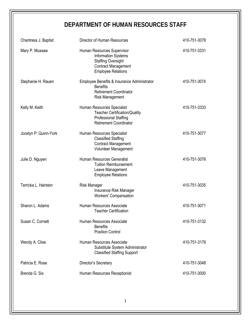## **DEPARTMENT OF HUMAN RESOURCES STAFF**

| Chantress J. Baptist  | Director of Human Resources                                                                                                                      | 410-751-3078 |
|-----------------------|--------------------------------------------------------------------------------------------------------------------------------------------------|--------------|
| Mary P. Mussaw        | Human Resources Supervisor<br><b>Information Systems</b><br><b>Staffing Oversight</b><br><b>Contract Management</b><br><b>Employee Relations</b> | 410-751-3331 |
| Stephanie H. Rauen    | Employee Benefits & Insurance Administrator<br><b>Benefits</b><br><b>Retirement Coordinator</b><br><b>Risk Management</b>                        | 410-751-3074 |
| Kelly M. Keith        | Human Resources Specialist<br><b>Teacher Certification/Quality</b><br><b>Professional Staffing</b><br><b>Retirement Coordinator</b>              | 410-751-3333 |
| Jocelyn P. Quinn-York | Human Resources Specialist<br><b>Classified Staffing</b><br><b>Contract Management</b><br>Volunteer Management                                   | 410-751-3077 |
| Julie D. Nguyen       | Human Resources Generalist<br><b>Tuition Reimbursement</b><br>Leave Management<br><b>Employee Relations</b>                                      | 410-751-3076 |
| Terricka L. Hairston  | Risk Manager<br>Insurance Risk Manager<br><b>Workers' Compensation</b>                                                                           | 410-751-3035 |
| Sharon L. Adams       | Human Resources Associate<br><b>Teacher Certification</b>                                                                                        | 410-751-3071 |
| Susan C. Cornett      | Human Resources Associate<br><b>Benefits</b><br><b>Position Control</b>                                                                          | 410-751-3132 |
| Wendy A. Clise        | Human Resources Associate<br>Substitute System Administrator<br><b>Classified Staffing Support</b>                                               | 410-751-3176 |
| Patricia E. Rose      | Director's Secretary                                                                                                                             | 410-751-3048 |
| Brenda G. Six         | Human Resources Receptionist                                                                                                                     | 410-751-3000 |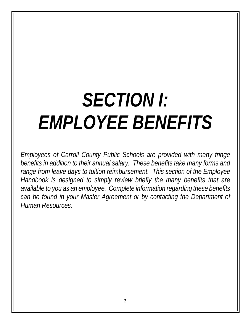## *SECTION I: EMPLOYEE BENEFITS*

*Employees of Carroll County Public Schools are provided with many fringe benefits in addition to their annual salary. These benefits take many forms and range from leave days to tuition reimbursement. This section of the Employee Handbook is designed to simply review briefly the many benefits that are available to you as an employee. Complete information regarding these benefits can be found in your Master Agreement or by contacting the Department of Human Resources.*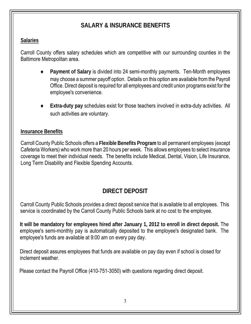## **SALARY & INSURANCE BENEFITS**

### **Salaries**

Carroll County offers salary schedules which are competitive with our surrounding counties in the Baltimore Metropolitan area.

- Payment of Salary is divided into 24 semi-monthly payments. Ten-Month employees may choose a summer payoff option. Details on this option are available from the Payroll Office. Direct deposit is required for all employees and credit union programs exist for the employee's convenience.
- **Extra-duty pay** schedules exist for those teachers involved in extra-duty activities. All such activities are voluntary.

## **Insurance Benefits**

Carroll County Public Schools offers a **Flexible Benefits Program** to all permanent employees (except Cafeteria Workers) who work more than 20 hours per week. This allows employees to select insurance coverage to meet their individual needs. The benefits include Medical, Dental, Vision, Life Insurance, Long Term Disability and Flexible Spending Accounts.

## **DIRECT DEPOSIT**

Carroll County Public Schools provides a direct deposit service that is available to all employees. This service is coordinated by the Carroll County Public Schools bank at no cost to the employee.

**It will be mandatory for employees hired after January 1, 2012 to enroll in direct deposit.** The employee's semi-monthly pay is automatically deposited to the employee's designated bank. The employee's funds are available at 9:00 am on every pay day.

Direct deposit assures employees that funds are available on pay day even if school is closed for inclement weather.

Please contact the Payroll Office (410-751-3050) with questions regarding direct deposit.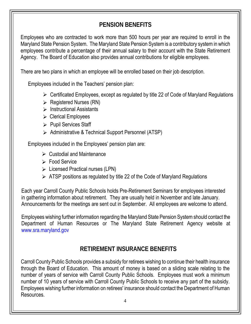## **PENSION BENEFITS**

Employees who are contracted to work more than 500 hours per year are required to enroll in the Maryland State Pension System. The Maryland State Pension System is a contributory system in which employees contribute a percentage of their annual salary to their account with the State Retirement Agency. The Board of Education also provides annual contributions for eligible employees.

There are two plans in which an employee will be enrolled based on their job description.

Employees included in the Teachers' pension plan:

- $\triangleright$  Certificated Employees, except as regulated by title 22 of Code of Maryland Regulations
- $\triangleright$  Registered Nurses (RN)
- $\triangleright$  Instructional Assistants
- $\triangleright$  Clerical Employees
- $\triangleright$  Pupil Services Staff
- > Administrative & Technical Support Personnel (ATSP)

Employees included in the Employees' pension plan are:

- $\triangleright$  Custodial and Maintenance
- **Execute** Service
- $\triangleright$  Licensed Practical nurses (LPN)
- $\triangleright$  ATSP positions as regulated by title 22 of the Code of Maryland Regulations

Each year Carroll County Public Schools holds Pre-Retirement Seminars for employees interested in gathering information about retirement. They are usually held in November and late January. Announcements for the meetings are sent out in September. All employees are welcome to attend.

Employees wishing further information regarding the Maryland State Pension System should contact the Department of Human Resources or The Maryland State Retirement Agency website at www.sra.maryland.gov

## **RETIREMENT INSURANCE BENEFITS**

Carroll County Public Schools provides a subsidy for retirees wishing to continue their health insurance through the Board of Education. This amount of money is based on a sliding scale relating to the number of years of service with Carroll County Public Schools. Employees must work a minimum number of 10 years of service with Carroll County Public Schools to receive any part of the subsidy. Employees wishing further information on retirees' insurance should contact the Department of Human Resources.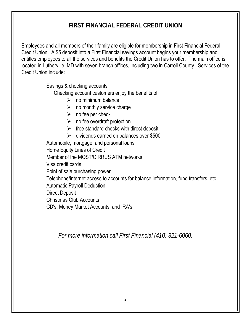## **FIRST FINANCIAL FEDERAL CREDIT UNION**

Employees and all members of their family are eligible for membership in First Financial Federal Credit Union. A \$5 deposit into a First Financial savings account begins your membership and entitles employees to all the services and benefits the Credit Union has to offer. The main office is located in Lutherville, MD with seven branch offices, including two in Carroll County. Services of the Credit Union include:

Savings & checking accounts

Checking account customers enjoy the benefits of:

- $\triangleright$  no minimum balance
- $\triangleright$  no monthly service charge
- $\triangleright$  no fee per check
- $\triangleright$  no fee overdraft protection
- $\triangleright$  free standard checks with direct deposit
- $\geq$  dividends earned on balances over \$500

Automobile, mortgage, and personal loans

Home Equity Lines of Credit

Member of the MOST/CIRRUS ATM networks

Visa credit cards

Point of sale purchasing power

Telephone/internet access to accounts for balance information, fund transfers, etc.

Automatic Payroll Deduction

Direct Deposit

Christmas Club Accounts

CD's, Money Market Accounts, and IRA's

*For more information call First Financial (410) 321-6060.*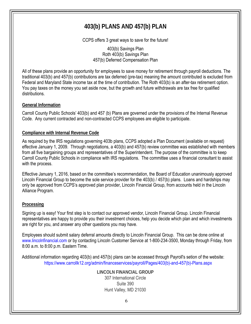## **403(b) PLANS AND 457(b) PLAN**

CCPS offers 3 great ways to save for the future!

403(b) Savings Plan Roth 403(b) Savings Plan 457(b) Deferred Compensation Plan

All of these plans provide an opportunity for employees to save money for retirement through payroll deductions. The traditional 403(b) and 457(b) contributions are tax deferred (pre-tax) meaning the amount contributed is excluded from Federal and Maryland State income tax at the time of contribution. The Roth 403(b) is an after-tax retirement option. You pay taxes on the money you set aside now, but the growth and future withdrawals are tax free for qualified distributions.

#### **General Information**

Carroll County Public Schools' 403(b) and 457 (b) Plans are governed under the provisions of the Internal Revenue Code. Any current contracted and non-contracted CCPS employees are eligible to participate.

#### **Compliance with Internal Revenue Code**

As required by the IRS regulations governing 403b plans, CCPS adopted a Plan Document (available on request) effective January 1, 2009. Through negotiations, a 403(b) and 457(b) review committee was established with members from all five bargaining groups and representatives of the Superintendent. The purpose of the committee is to keep Carroll County Public Schools in compliance with IRS regulations. The committee uses a financial consultant to assist with the process.

Effective January 1, 2016, based on the committee's recommendation, the Board of Education unanimously approved Lincoln Financial Group to become the sole service provider for the 403(b) / 457(b) plans. Loans and hardships may only be approved from CCPS's approved plan provider, Lincoln Financial Group, from accounts held in the Lincoln Alliance Program.

#### **Processing**

Signing up is easy! Your first step is to contact our approved vendor, Lincoln Financial Group. Lincoln Financial representatives are happy to provide you their investment choices, help you decide which plan and which investments are right for you, and answer any other questions you may have.

Employees should submit salary deferral amounts directly to Lincoln Financial Group. This can be done online at [www.lincolnfinancial.com](https://www.lfg.com/public/individual) or by contacting Lincoln Customer Service at 1-800-234-3500, Monday through Friday, from 8:00 a.m. to 8:00 p.m. Eastern Time.

Additional information regarding 403(b) and 457(b) plans can be accessed through Payroll's setion of the website: [https://www.carrollk12.org/admin/financeservices/payroll/Pages/403\(b\)-and-457\(b\)-Plans.aspx](https://www.carrollk12.org/admin/financeservices/payroll/Pages/403(b)-and-457(b)-Plans.aspx)

> **LINCOLN FINANCIAL GROUP** 307 International Circle Suite 390 Hunt Valley, MD 21030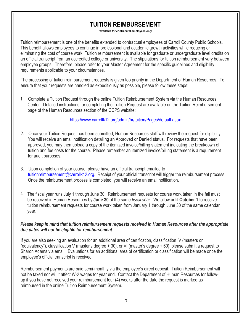## **TUITION REIMBURSEMENT**

#### **\*available for contracutal employees only**

Tuition reimbursement is one of the benefits extended to contractual employees of Carroll County Public Schools. This benefit allows employees to continue in professional and academic growth activities while reducing or eliminating the cost of course work. Tuition reimbursement is available for graduate or undergraduate level credits on an official transcript from an accredited college or university. The stipulations for tuition reimbursement vary between employee groups. Therefore, please refer to your Master Agreement for the specific guidelines and eligibility requirements applicable to your circumstances.

The processing of tuition reimbursement requests is given top priority in the Department of Human Resources. To ensure that your requests are handled as expeditiously as possible, please follow these steps:

1. Complete a Tuition Request through the online Tuition Reimbursement System via the Human Resources Center. Detailed instructions for completing the Tuition Request are available on the Tuition Reimbursement page of the Human Resources section of the CCPS website:

#### <https://www.carrollk12.org/admin/hr/tuition/Pages/default.aspx>

- 2. Once your Tuition Request has been submitted, Human Resources staff will review the request for eligibility. You will receive an email notification detailing an Approved or Denied status. For requests that have been approved, you may then upload a copy of the itemized invoice/billing statement indicating the breakdown of tuition and fee costs for the course. Please remember an itemized invoice/billing statement is a requirement for audit purposes.
- 3. Upon completion of your course, please have an official transcript emailed to tuitionreimbursement@carrollk12.org. Receipt of your official transcript will trigger the reimbursement process. Once the reimbursement process is completed, you will receive an email notification.
- 4. The fiscal year runs July 1 through June 30. Reimbursement requests for course work taken in the fall must be received in Human Resources by **June 30** of the same *fiscal year*. We allow until **October 1** to receive tuition reimbursement requests for course work taken from January 1 through June 30 of the same calendar year.

#### *Please keep in mind that tuition reimbursement requests received in Human Resources after the appropriate due dates will not be eligible for reimbursement*.

If you are also seeking an evaluation for an additional area of certification, classification IV (masters or "equivalency"), classification V (master's degree + 30), or VI (master's degree + 60), please submit a request to Sharon Adams via email. Evaluations for an additional area of certification or classification will be made once the employee's official transcript is received.

Reimbursement payments are paid semi-monthly via the employee's direct deposit. Tuition Reimbursement will not be taxed nor will it affect W-2 wages for year end. Contact the Department of Human Resources for followup if you have not received your reimbursement four (4) weeks after the date the request is marked as reimbursed in the online Tuition Reimbursement System.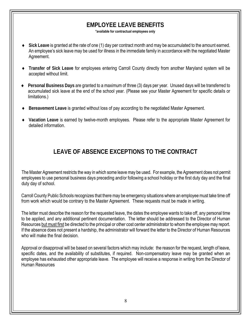## **EMPLOYEE LEAVE BENEFITS**

**\*available for contractual employees only**

- **Sick Leave** is granted at the rate of one (1) day per contract month and may be accumulated to the amount earned. An employee's sick leave may be used for illness in the immediate family in accordance with the negotiated Master Agreement.
- **Transfer of Sick Leave** for employees entering Carroll County directly from another Maryland system will be accepted without limit.
- **Personal Business Days** are granted to a maximum of three (3) days per year. Unused days will be transferred to accumulated sick leave at the end of the school year. (Please see your Master Agreement for specific details or limitations.)
- **Bereavement Leave** is granted without loss of pay according to the negotiated Master Agreement.
- **Vacation Leave** is earned by twelve-month employees. Please refer to the appropriate Master Agreement for detailed information.

## **LEAVE OF ABSENCE EXCEPTIONS TO THE CONTRACT**

The Master Agreement restricts the way in which some leave may be used. For example, the Agreement does not permit employees to use personal business days preceding and/or following a school holiday or the first duty day and the final duty day of school.

Carroll County Public Schools recognizes that there may be emergency situations where an employee must take time off from work which would be contrary to the Master Agreement. These requests must be made in writing.

The letter must describe the reason for the requested leave, the dates the employee wants to take off, any personal time to be applied, and any additional pertinent documentation. The letter should be addressed to the Director of Human Resources but must first be directed to the principal or other cost center administrator to whom the employee may report. If the absence does not present a hardship, the administrator will forward the letter to the Director of Human Resources who will make the final decision

Approval or disapproval will be based on several factors which may include: the reason for the request, length of leave, specific dates, and the availability of substitutes, if required. Non-compensatory leave may be granted when an employee has exhausted other appropriate leave. The employee will receive a response in writing from the Director of Human Resources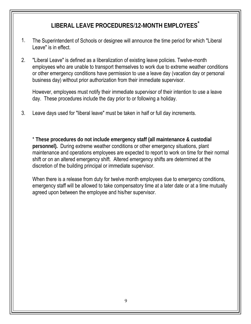## **LIBERAL LEAVE PROCEDURES**/**12-MONTH EMPLOYEES**\*

- 1. The Superintendent of Schools or designee will announce the time period for which "Liberal Leave" is in effect.
- 2. "Liberal Leave" is defined as a liberalization of existing leave policies. Twelve-month employees who are unable to transport themselves to work due to extreme weather conditions or other emergency conditions have permission to use a leave day (vacation day or personal business day) without prior authorization from their immediate supervisor.

However, employees must notify their immediate supervisor of their intention to use a leave day. These procedures include the day prior to or following a holiday.

3. Leave days used for "liberal leave" must be taken in half or full day increments.

\* **These procedures do not include emergency staff (all maintenance & custodial personnel).** During extreme weather conditions or other emergency situations, plant maintenance and operations employees are expected to report to work on time for their normal shift or on an altered emergency shift. Altered emergency shifts are determined at the discretion of the building principal or immediate supervisor.

When there is a release from duty for twelve month employees due to emergency conditions, emergency staff will be allowed to take compensatory time at a later date or at a time mutually agreed upon between the employee and his/her supervisor.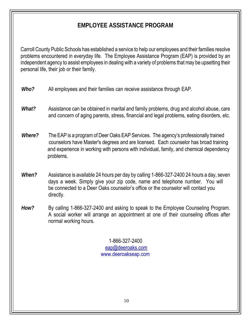## **EMPLOYEE ASSISTANCE PROGRAM**

Carroll County Public Schools has established a service to help our employees and their families resolve problems encountered in everyday life. The Employee Assistance Program (EAP) is provided by an independent agency to assist employees in dealing with a variety of problems that may be upsetting their personal life, their job or their family.

- *Who?* All employees and their families can receive assistance through EAP.
- *What?* Assistance can be obtained in marital and family problems, drug and alcohol abuse, care and concern of aging parents, stress, financial and legal problems, eating disorders, etc.
- *Where?* The EAP is a program of Deer Oaks EAP Services. The agency's professionally trained counselors have Master's degrees and are licensed. Each counselor has broad training and experience in working with persons with individual, family, and chemical dependency problems.
- *When?* Assistance is available 24 hours per day by calling 1-866-327-2400 24 hours a day, seven days a week. Simply give your zip code, name and telephone number. You will be connected to a Deer Oaks counselor's office or the counselor will contact you directly.
- *How?* By calling 1-866-327-2400 and asking to speak to the Employee Counseling Program. A social worker will arrange an appointment at one of their counseling offices after normal working hours.

1-866-327-2400 eap@deeroaks.com www.deeroakseap.com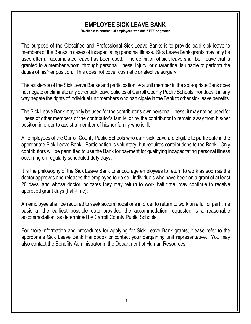## **EMPLOYEE SICK LEAVE BANK**

**\*available to contractual employees who are .6 FTE or greater**

The purpose of the Classified and Professional Sick Leave Banks is to provide paid sick leave to members of the Banks in cases of incapacitating personal illness. Sick Leave Bank grants may only be used after all accumulated leave has been used. The definition of sick leave shall be: leave that is granted to a member whom, through personal illness, injury, or quarantine, is unable to perform the duties of his/her position. This does not cover cosmetic or elective surgery.

The existence of the Sick Leave Banks and participation by a unit member in the appropriate Bank does not negate or eliminate any other sick leave policies of Carroll County Public Schools, nor does it in any way negate the rights of individual unit members who participate in the Bank to other sick leave benefits.

The Sick Leave Bank may only be used for the contributor's own personal illness; it may not be used for illness of other members of the contributor's family, or by the contributor to remain away from his/her position in order to assist a member of his/her family who is ill.

All employees of the Carroll County Public Schools who earn sick leave are eligible to participate in the appropriate Sick Leave Bank. Participation is voluntary, but requires contributions to the Bank. Only contributors will be permitted to use the Bank for payment for qualifying incapacitating personal illness occurring on regularly scheduled duty days.

It is the philosophy of the Sick Leave Bank to encourage employees to return to work as soon as the doctor approves and releases the employee to do so. Individuals who have been on a grant of at least 20 days, and whose doctor indicates they may return to work half time, may continue to receive approved grant days (half-time).

An employee shall be required to seek accommodations in order to return to work on a full or part time basis at the earliest possible date provided the accommodation requested is a reasonable accommodation, as determined by Carroll County Public Schools.

For more information and procedures for applying for Sick Leave Bank grants, please refer to the appropriate Sick Leave Bank Handbook or contact your bargaining unit representative. You may also contact the Benefits Administrator in the Department of Human Resources.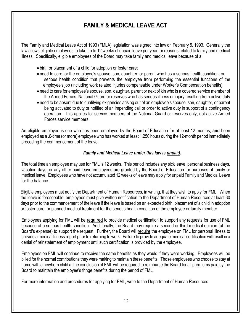## **FAMILY & MEDICAL LEAVE ACT**

The Family and Medical Leave Act of 1993 (FMLA) legislation was signed into law on February 5, 1993. Generally the law allows eligible employees to take up to 12 weeks of unpaid leave per year for reasons related to family and medical illness. Specifically, eligible employees of the Board may take family and medical leave because of a:

- birth or placement of a child for adoption or foster care;
- need to care for the employee's spouse, son, daughter, or parent who has a serious health condition; or serious health condition that prevents the employee from performing the essential functions of the employee's job (including work related injuries compensable under Worker's Compensation benefits);
- need to care for employee's spouse, son, daughter, parent or next of kin who is a covered service member of the Armed Forces, National Guard or reserves who has serious illness or injury resulting from active duty
- need to be absent due to qualifying exigencies arising out of an employee's spouse, son, daughter, or parent being activated to duty or notified of an impending call or order to active duty in support of a contingency operation. This applies for service members of the National Guard or reserves only, not active Armed Forces service members.

An eligible employee is one who has been employed by the Board of Education for at least 12 months; **and** been employed as a .6-time (or more) employee who has worked at least 1,250 hours during the 12-month period immediately preceding the commencement of the leave.

#### *Family and Medical Leave under this law is unpaid.*

The total time an employee may use for FML is 12 weeks. This period includes any sick leave, personal business days, vacation days, or any other paid leave employees are granted by the Board of Education for purposes of family or medical leave. Employees who have not accumulated 12 weeks of leave may apply for unpaid Family and Medical Leave for the balance.

Eligible employees must notify the Department of Human Resources, in writing, that they wish to apply for FML. When the leave is foreseeable, employees must give written notification to the Department of Human Resources at least 30 days prior to the commencement of the leave if the leave is based on an expected birth, placement of a child in adoption or foster care, or planned medical treatment for the serious health condition of the employee or family member.

Employees applying for FML will be **required** to provide medical certification to support any requests for use of FML because of a serious health condition. Additionally, the Board may require a second or third medical opinion (at the Board's expense) to support the request. Further, the Board will require the employee on FML for personal illness to provide a medical fitness report prior to returning to work. Failure to provide adequate medical certification will result in a denial of reinstatement of employment until such certification is provided by the employee.

Employees on FML will continue to receive the same benefits as they would if they were working. Employees will be billed for the normal contributions they were making to maintain these benefits. Those employees who choose to stay at home with a newborn child at the conclusion of FML will be required to reimburse the Board for all premiums paid by the Board to maintain the employee's fringe benefits during the period of FML.

For more information and procedures for applying for FML, write to the Department of Human Resources.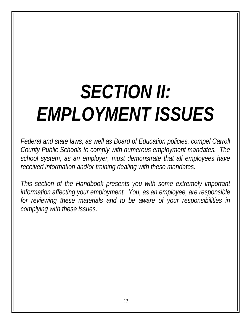## *SECTION II: EMPLOYMENT ISSUES*

*Federal and state laws, as well as Board of Education policies, compel Carroll County Public Schools to comply with numerous employment mandates. The school system, as an employer, must demonstrate that all employees have received information and/or training dealing with these mandates.* 

*This section of the Handbook presents you with some extremely important information affecting your employment. You, as an employee, are responsible*  for reviewing these materials and to be aware of your responsibilities in *complying with these issues.*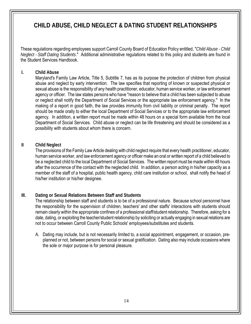## **CHILD ABUSE, CHILD NEGLECT & DATING STUDENT RELATIONSHIPS**

These regulations regarding employees support Carroll County Board of Education Policy entitled, "*Child Abuse - Child Neglect - Staff Dating Students*." Additional administrative regulations related to this policy and students are found in the Student Services Handbook.

#### **I. Child Abuse**

Maryland's Family Law Article, Title 5, Subtitle 7, has as its purpose the protection of children from physical abuse and neglect by early intervention. The law specifies that reporting of known or suspected physical or sexual abuse is the responsibility of any health practitioner, educator, human service worker, or law enforcement agency or officer. The law states persons who have "reason to believe that a child has been subjected to abuse or neglect shall notify the Department of Social Services or the appropriate law enforcement agency." In the making of a report in good faith, the law provides immunity from civil liability or criminal penalty. The report should be made orally to either the local Department of Social Services or to the appropriate law enforcement agency. In addition, a written report must be made within 48 hours on a special form available from the local Department of Social Services. Child abuse or neglect can be life threatening and should be considered as a possibility with students about whom there is concern.

#### **II Child Neglect**

The provisions of the Family Law Article dealing with child neglect require that every health practitioner, educator, human service worker, and law enforcement agency or officer make an oral or written report of a child believed to be a neglected child to the local Department of Social Services. The written report must be made within 48 hours after the occurrence of the contact with the neglected child. In addition, a person acting in his/her capacity as a member of the staff of a hospital, public health agency, child care institution or school, shall notify the head of his/her institution or his/her designee.

#### **III. Dating or Sexual Relations Between Staff and Students**

The relationship between staff and students is to be of a professional nature. Because school personnel have the responsibility for the supervision of children, teachers' and other staffs' interactions with students should remain clearly within the appropriate confines of a professional staff/student relationship. Therefore, asking for a date, dating, or exploiting the teacher/student relationship by soliciting or actually engaging in sexual relations are not to occur between Carroll County Public Schools' employees/substitutes and students.

A. Dating may include, but is not necessarily limited to, a social appointment, engagement, or occasion, preplanned or not, between persons for social or sexual gratification. Dating also may include occasions where the sole or major purpose is for personal pleasure.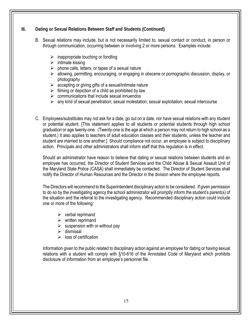#### **III. Dating or Sexual Relations Between Staff and Students (Continued)**

- B. Sexual relations may include, but is not necessarily limited to, sexual contact or conduct, in person or through communication, occurring between or involving 2 or more persons. Examples include:
	- $\triangleright$  inappropriate touching or fondling
	- $\triangleright$  intimate kissing
	- $\triangleright$  phone calls, letters, or tapes of a sexual nature
	- allowing, permitting, encouraging, or engaging in obscene or pornographic discussion, display, or photography
	- $\triangleright$  accepting or giving gifts of a sexual/intimate nature
	- $\triangleright$  filming or depiction of a child as prohibited by law
	- $\triangleright$  communications that include sexual innuendos
	- $\triangleright$  any kind of sexual penetration; sexual molestation; sexual exploitation; sexual intercourse
- C. Employees/substitutes may not ask for a date, go out on a date, nor have sexual relations with any student or potential student. [This statement applies to all students or potential students through high school graduation or age twenty-one. (Twenty-one is the age at which a person may not return to high school as a student.) It also applies to teachers of adult education classes and their students, unless the teacher and student are married to one another.] Should compliance not occur, an employee is subject to disciplinary action. Principals and other administrators shall inform staff that this regulation is in effect.

Should an administrator have reason to believe that dating or sexual relations between students and an employee has occurred, the Director of Student Services and the Child Abuse & Sexual Assault Unit of the Maryland State Police (CASA) shall immediately be contacted. The Director of Student Services shall notify the Director of Human Resources and the Director in the division where the employee reports.

The Directors will recommend to the Superintendent disciplinary action to be considered. If given permission to do so by the investigating agency the school administrator will promptly inform the student's parent(s) of the situation and the referral to the investigating agency. Recommended disciplinary action could include one or more of the following:

- $\triangleright$  verbal reprimand
- $\triangleright$  written reprimand
- $\triangleright$  suspension with or without pay
- $\triangleright$  dismissal
- $\triangleright$  loss of certification

Information given to the public related to disciplinary action against an employee for dating or having sexual relations with a student will comply with §10-616 of the Annotated Code of Maryland which prohibits disclosure of information from an employee's personnel file.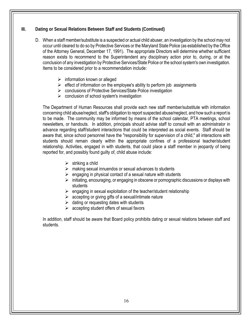#### **III. Dating or Sexual Relations Between Staff and Students (Continued)**

- D. When a staff member/substitute is a suspected or actual child abuser, an investigation by the school may not occur until cleared to do so by Protective Services or the Maryland State Police (as established by the Office of the Attorney General, December 17, 1991). The appropriate Directors will determine whether sufficient reason exists to recommend to the Superintendent any disciplinary action prior to, during, or at the conclusion of any investigation by Protective Services/State Police or the school system's own investigation. Items to be considered prior to a recommendation include:
	- $\triangleright$  information known or alleged
	- $\triangleright$  effect of information on the employee's ability to perform job assignments
	- ▶ conclusions of Protective Services/State Police investigation
	- $\triangleright$  conclusion of school system's investigation

The Department of Human Resources shall provide each new staff member/substitute with information concerning child abuse/neglect, staff's obligation to report suspected abuse/neglect, and how such a report is to be made. The community may be informed by means of the school calendar, PTA meetings, school newsletters, or handouts. In addition, principals should advise staff to consult with an administrator in advance regarding staff/student interactions that could be interpreted as social events. Staff should be aware that, since school personnel have the "responsibility for supervision of a child," all interactions with students should remain clearly within the appropriate confines of a professional teacher/student relationship. Activities, engaged in with students, that could place a staff member in jeopardy of being reported for, and possibly found guilty of, child abuse include:

- $\triangleright$  striking a child
- $\triangleright$  making sexual innuendos or sexual advances to students
- $\triangleright$  engaging in physical contact of a sexual nature with students
- $\triangleright$  initiating, encouraging, or engaging in obscene or pornographic discussions or displays with students
- $\triangleright$  engaging in sexual exploitation of the teacher/student relationship
- $\triangleright$  accepting or giving gifts of a sexual/intimate nature
- $\triangleright$  dating or requesting dates with students
- $\triangleright$  accepting student offers of sexual favors

In addition, staff should be aware that Board policy prohibits dating or sexual relations between staff and students.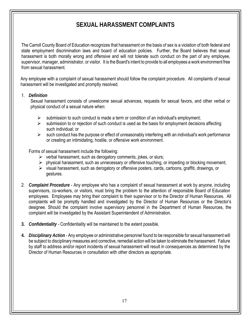## **SEXUAL HARASSMENT COMPLAINTS**

The Carroll County Board of Education recognizes that harassment on the basis of sex is a violation of both federal and state employment discrimination laws and board of education policies. Further, the Board believes that sexual harassment is both morally wrong and offensive and will not tolerate such conduct on the part of any employee, supervisor, manager, administrator, or visitor. It is the Board's intent to provide to all employees a work environment free from sexual harassment.

Any employee with a complaint of sexual harassment should follow the complaint procedure. All complaints of sexual harassment will be investigated and promptly resolved.

#### 1. *Definition*

Sexual harassment consists of unwelcome sexual advances, requests for sexual favors, and other verbal or physical conduct of a sexual nature when:

- $\triangleright$  submission to such conduct is made a term or condition of an individual's employment;
- $\triangleright$  submission to or rejection of such conduct is used as the basis for employment decisions affecting such individual; or
- $\triangleright$  such conduct has the purpose or effect of unreasonably interfering with an individual's work performance or creating an intimidating, hostile, or offensive work environment.

Forms of sexual harassment include the following:

- $\triangleright$  verbal harassment, such as derogatory comments, jokes, or slurs;
- $\triangleright$  physical harassment, such as unnecessary or offensive touching, or impeding or blocking movement;
- $\triangleright$  visual harassment, such as derogatory or offensive posters, cards, cartoons, graffiti, drawings, or gestures.
- 2. *Complaint Procedure* Any employee who has a complaint of sexual harassment at work by anyone, including supervisors, co-workers, or visitors, must bring the problem to the attention of responsible Board of Education employees. Employees may bring their complaint to their supervisor or to the Director of Human Resources. All complaints will be promptly handled and investigated by the Director of Human Resources or the Director's designee. Should the complaint involve supervisory personnel in the Department of Human Resources, the complaint will be investigated by the Assistant Superintendent of Administration.
- **3.** *Confidentiality* Confidentiality will be maintained to the extent possible.
- **4.** *Disciplinary Action -* Any employee or administrative personnel found to be responsible for sexual harassment will be subject to disciplinary measures and corrective, remedial action will be taken to eliminate the harassment. Failure by staff to address and/or report incidents of sexual harassment will result in consequences as determined by the Director of Human Resources in consultation with other directors as appropriate.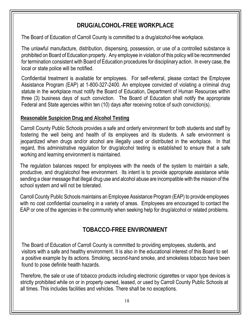## **DRUG/ALCOHOL-FREE WORKPLACE**

The Board of Education of Carroll County is committed to a drug/alcohol-free workplace.

The unlawful manufacture, distribution, dispensing, possession, or use of a controlled substance is prohibited on Board of Education property. Any employee in violation of this policy will be recommended for termination consistent with Board of Education procedures for disciplinary action. In every case, the local or state police will be notified.

Confidential treatment is available for employees. For self-referral, please contact the Employee Assistance Program (EAP) at 1-800-327-2400. An employee convicted of violating a criminal drug statute in the workplace must notify the Board of Education, Department of Human Resources within three (3) business days of such conviction. The Board of Education shall notify the appropriate Federal and State agencies within ten (10) days after receiving notice of such conviction(s).

### **Reasonable Suspicion Drug and Alcohol Testing**

Carroll County Public Schools provides a safe and orderly environment for both students and staff by fostering the well being and health of its employees and its students. A safe environment is jeopardized when drugs and/or alcohol are illegally used or distributed in the workplace. In that regard, this administrative regulation for drug/alcohol testing is established to ensure that a safe working and learning environment is maintained.

The regulation balances respect for employees with the needs of the system to maintain a safe, productive, and drug/alcohol free environment. Its intent is to provide appropriate assistance while sending a clear message that illegal drug use and alcohol abuse are incompatible with the mission of the school system and will not be tolerated.

Carroll County Public Schools maintains an Employee Assistance Program (EAP) to provide employees with no cost confidential counseling in a variety of areas. Employees are encouraged to contact the EAP or one of the agencies in the community when seeking help for drug/alcohol or related problems.

## **TOBACCO-FREE ENVIRONMENT**

The Board of Education of Carroll County is committed to providing employees, students, and visitors with a safe and healthy environment. It is also in the educational interest of this Board to set a positive example by its actions. Smoking, second-hand smoke, and smokeless tobacco have been found to pose definite health hazards.

Therefore, the sale or use of tobacco products including electronic cigarettes or vapor type devices is strictly prohibited while on or in property owned, leased, or used by Carroll County Public Schools at all times. This includes facilities and vehicles. There shall be no exceptions.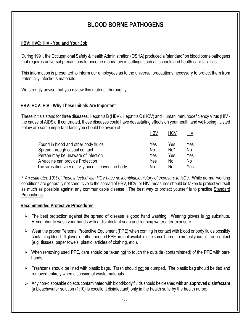## **BLOOD BORNE PATHOGENS**

#### **HBV; HVC; HIV - You and Your Job**

During 1991, the Occupational Safety & Health Administration (OSHA) produced a "standard" on blood borne pathogens that requires universal precautions to become mandatory in settings such as schools and health care facilities.

This information is presented to inform our employees as to the universal precautions necessary to protect them from potentially infectious materials.

We strongly advise that you review this material thoroughly.

#### **HBV; HCV; HIV - Why These Initials Are Important**

These initials stand for three diseases, Hepatitis B (HBV), Hepatitis C (HCV) and Human Immunodeficiency Virus (HIV the cause of AIDS). If contracted, these diseases could have devastating effects on your health and well-being. Listed below are some important facts you should be aware of:

|                                                     | <b>HBV</b> | <b>HCV</b> | HIV |
|-----------------------------------------------------|------------|------------|-----|
| Found in blood and other body fluids                | Yes        | Yes        | Yes |
| Spread through casual contact                       | No         | $No*$      | No  |
| Person may be unaware of infection                  | Yes        | Yes        | Yes |
| A vaccine can provide Protection                    | Yes        | No.        | No  |
| The virus dies very quickly once it leaves the body | No         | No         | Yes |

*\* An estimated 10% of those infected with HCV have no identifiable history of exposure to HCV.* While normal working conditions are generally not conducive to the spread of HBV, HCV, or HIV, measures should be taken to protect yourself as much as possible against any communicable disease. The best way to protect yourself is to practice Standard Precautions.

#### **Recommended Protective Procedures**

- $\triangleright$  The best protection against the spread of disease is good hand washing. Wearing gloves is no substitute. Remember to wash your hands with a disinfectant soap and running water after exposure.
- $\triangleright$  Wear the proper Personal Protective Equipment (PPE) when coming in contact with blood or body fluids possibly containing blood. If gloves or other needed PPE are not available use some barrier to protect yourself from contact (e.g. tissues, paper towels, plastic, articles of clothing, etc.).
- $\triangleright$  When removing used PPE, care should be taken not to touch the outside (contaminated) of the PPE with bare hands.
- $\triangleright$  Trashcans should be lined with plastic bags. Trash should not be dumped. The plastic bag should be tied and removed entirely when disposing of waste materials.
- Any non-disposable objects contaminated with blood/body fluids should be cleaned with an **approved disinfectant**  [a bleach/water solution (1:10) is excellent disinfectant] only in the health suite by the health nurse.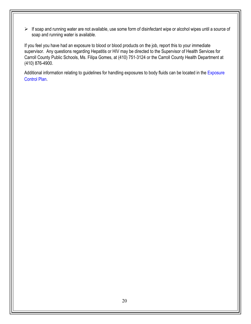$\triangleright$  If soap and running water are not available, use some form of disinfectant wipe or alcohol wipes until a source of soap and running water is available.

If you feel you have had an exposure to blood or blood products on the job, report this to your immediate supervisor. Any questions regarding Hepatitis or HIV may be directed to the Supervisor of Health Services for Carroll County Public Schools, Ms. Filipa Gomes, at (410) 751-3124 or the Carroll County Health Department at (410) 876-4900.

Additional information relating to guidelines for handling exposures to body fluids can be located in the Exposure [Control Plan.](https://www.carrollk12.org/instruction/studentparentresources/Documents/Forms/AllItems.aspx)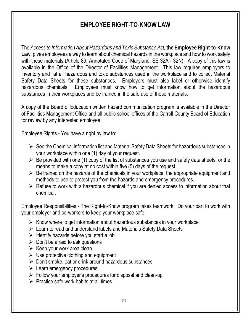## **EMPLOYEE RIGHT-TO-KNOW LAW**

The *Access to Information About Hazardous and Toxic Substance Act,* **the Employee Right-to-Know Law**, gives employees a way to learn about chemical hazards in the workplace and how to work safely with these materials (Article 89, Annotated Code of Maryland, SS 32A - 32N). A copy of this law is available in the Office of the Director of Facilities Management. This law requires employers to inventory and list all hazardous and toxic substances used in the workplace and to collect Material Safety Data Sheets for these substances. Employers must also label or otherwise identify hazardous chemicals. Employees must know how to get information about the hazardous substances in their workplaces and be trained in the safe use of these materials.

A copy of the Board of Education written hazard communication program is available in the Director of Facilities Management Office and all public school offices of the Carroll County Board of Education for review by any interested employee.

Employee Rights - You have a right by law to:

- $\triangleright$  See the Chemical Information list and Material Safety Data Sheets for hazardous substances in your workplace within one (1) day of your request.
- $\triangleright$  Be provided with one (1) copy of the list of substances you use and safety data sheets, or the means to make a copy at no cost within five (5) days of the request.
- $\triangleright$  Be trained on the hazards of the chemicals in your workplace, the appropriate equipment and methods to use to protect you from the hazards and emergency procedures.
- $\triangleright$  Refuse to work with a hazardous chemical if you are denied access to information about that chemical.

Employee Responsibilities **-** The Right-to-Know program takes teamwork. Do your part to work with your employer and co-workers to keep your workplace safe!

- $\triangleright$  Know where to get information about hazardous substances in your workplace
- $\triangleright$  Learn to read and understand labels and Materials Safety Data Sheets
- $\triangleright$  Identify hazards before you start a job
- $\triangleright$  Don't be afraid to ask questions
- $\triangleright$  Keep your work area clean
- $\triangleright$  Use protective clothing and equipment
- $\triangleright$  Don't smoke, eat or drink around hazardous substances
- $\triangleright$  Learn emergency procedures
- $\triangleright$  Follow your employer's procedures for disposal and clean-up
- $\triangleright$  Practice safe work habits at all times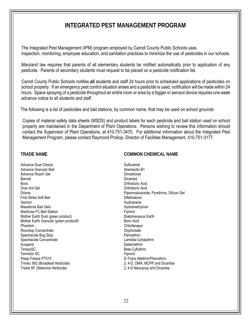## **INTEGRATED PEST MANAGEMENT PROGRAM**

The Integrated Pest Management (IPM) program employed by Carroll County Public Schools uses inspection, monitoring, employee education, and sanitation practices to minimize the use of pesticides in our schools.

Maryland law requires that parents of all elementary students be notified automatically prior to application of any pesticide. Parents of secondary students must request to be placed on a pesticide notification list.

Carroll County Public Schools notifies **all** students and staff 24 hours prior to scheduled applications of pesticides on school property. If an emergency pest control situation arises and a pesticide is used, notification will be made within 24 hours. Space spraying of a pesticide throughout an entire room or area by a fogger or aerosol device requires one week advance notice to all students and staff.

The following is a list of pesticides and bait stations, by common name, that may be used on school grounds:

Copies of material safety data sheets (MSDS) and product labels for each pesticide and bait station used on school property are maintained in the Department of Plant Operations. Persons wishing to review this information should contact the Supervisor of Plant Operations, at 410-751-3470. For additional information about the Integrated Pest Management Program, please contact Raymond Prokop, Director of Facilities Management, 410-751-3177.

Advance Dual Choice **Sulfuramid** Sulfuramid Advance Granular Bait **Abamectin B1** Abamectin B1 Advance Roach Gel **Dinotefuran** Banvel **Banvel Banvel Banvel Banvel Banvel Banvel Dicamba** Boric Orthoboric Acid Drax Ant Gel **Drax Ant Gel** Controller Controller Controller Controller Controller Controller Controller Controller Controller Controller Controller Controller Controller Controller Controller Controller Controller Control First Strike Soft Bait **Difethialone** Gentrol Hydroprene Maxforse FC Bait Station **Fig. 1986** Fig. 2.1 The Station Fig. 2.1 The Station Fig. 2.1 The Station Fig. 2.1 The Station Station Station Station Station Station Station Station Station Station Station Station Station Stati Mother Earth Dust (green product) Diatomaceous Earth Mother Earth Granular (green product0 Boric Acid Phantom **Chlorfenapyr** Chlorfenapyr Roundup Concentrate Glyphosate Glyphosate Spectracide Bug Stop **Permethrin** Spectracide Concentrate Lambda-Cyhalothrin Suspend Deltamethrin TempoSC Beta-Cyfluthrin Termidor SC<br>
Wasp Freeze PT515<br>
Wasp Freeze PT515 Wasp Freeze PT515 <br>Trimec 992 (Broadleaf Herbicide) <br>2, 4-D, DMA, MCPP and Dica Triplet SF (Selective Herbicide) 2, 4-D Macoprop and Dicamba

#### **TRADE NAME COMMON CHEMICAL NAME**

Drione Piperonybutoxide, Pyrethrins, Silicon Gel Hydramethylnon 2, 4-D, DMA, MCPP and Dicamba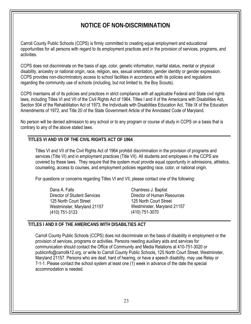## **NOTICE OF NON-DISCRIMINATION**

Carroll County Public Schools (CCPS) is firmly committed to creating equal employment and educational opportunities for all persons with regard to its employment practices and in the provision of services, programs, and activities.

CCPS does not discriminate on the basis of age, color, genetic information, marital status, mental or physical disability, ancestry or national origin, race, religion, sex, sexual orientation, gender identity or gender expression. CCPS provides non-discriminatory access to school facilities in accordance with its policies and regulations regarding the community use of schools (including, but not limited to, the Boy Scouts).

CCPS maintains all of its policies and practices in strict compliance with all applicable Federal and State civil rights laws, including Titles VI and VII of the Civil Rights Act of 1964, Titles I and II of the Americans with Disabilities Act, Section 504 of the Rehabilitation Act of 1973, the Individuals with Disabilities Education Act, Title IX of the Education Amendments of 1972, and Title 20 of the State Government Article of the Annotated Code of Maryland.

No person will be denied admission to any school or to any program or course of study in CCPS on a basis that is contrary to any of the above stated laws.

#### **TITLES VI AND VII OF THE CIVIL RIGHTS ACT OF 1964**

Titles VI and VII of the Civil Rights Act of 1964 prohibit discrimination in the provision of programs and services (Title VI) and in employment practices (Title VII). All students and employees in the CCPS are covered by these laws. They require that the system must provide equal opportunity in admissions, athletics, counseling, access to courses, and employment policies regarding race, color, or national origin.

For questions or concerns regarding Titles VI and VII, please contact one of the following:

Dana A. Falls Director of Student Services 125 North Court Street Westminster, Maryland 21157 (410) 751-3123

Chantress J. Baptist Director of Human Resources 125 North Court Street Westminster, Maryland 21157 (410) 751-3070

#### **TITLES I AND II OF THE AMERICANS WITH DISABILTIES ACT**

Carroll County Public Schools (CCPS) does not discriminate on the basis of disability in employment or the provision of services, programs or activities. Persons needing auxiliary aids and services for communication should contact the Office of Community and Media Relations at 410-751-3020 or publicinfo@carrollk12.org, or write to Carroll County Public Schools, 125 North Court Street, Westminster, Maryland 21157. Persons who are deaf, hard of hearing, or have a speech disability, may use Relay or 7-1-1. Please contact the school system at least one (1) week in advance of the date the special accommodation is needed.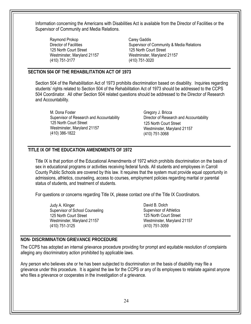Information concerning the Americans with Disabilities Act is available from the Director of Facilities or the Supervisor of Community and Media Relations.

Raymond Prokop Carey Gaddis 125 North Court Street (410) 751-3177 (410) 751-3020

Director of Facilities<br>125 North Court Street<br>125 North Court Street<br>125 North Court Street Westminster, Maryland 21157 Westminster, Maryland 21157

#### **SECTION 504 OF THE REHABILITATION ACT OF 1973**

Section 504 of the Rehabilitation Act of 1973 prohibits discrimination based on disability. Inquiries regarding students' rights related to Section 504 of the Rehabilitation Act of 1973 should be addressed to the CCPS 504 Coordinator. All other Section 504 related questions should be addressed to the Director of Research and Accountability.

M. Dona Foster Supervisor of Research and Accountability 125 North Court Street Westminster, Maryland 21157 (410) 386-1822 (410) 751-3068

Gregory J. Bricca Director of Research and Accountability 125 North Court Street Westminster, Maryland 21157

#### **TITLE IX OF THE EDUCATION AMENDMENTS OF 1972**

Title IX is that portion of the Educational Amendments of 1972 which prohibits discrimination on the basis of sex in educational programs or activities receiving federal funds. All students and employees in Carroll County Public Schools are covered by this law. It requires that the system must provide equal opportunity in admissions, athletics, counseling, access to courses, employment policies regarding marital or parental status of students, and treatment of students.

For questions or concerns regarding Title IX, please contact one of the Title IX Coordinators.

Judy A. Klinger Supervisor of School Counseling 125 North Court Street Westminster, Maryland 21157 (410) 751-3125

David B. Dolch Supervisor of Athletics 125 North Court Street Westminster, Maryland 21157 (410) 751-3059

#### **NON- DISCRIMINATION GRIEVANCE PROCEDURE**

The CCPS has adopted an internal grievance procedure providing for prompt and equitable resolution of complaints alleging any discriminatory action prohibited by applicable laws.

Any person who believes she or he has been subjected to discrimination on the basis of disability may file a grievance under this procedure. It is against the law for the CCPS or any of its employees to retaliate against anyone who files a grievance or cooperates in the investigation of a grievance.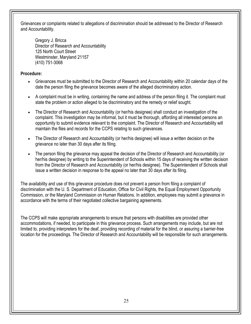Grievances or complaints related to allegations of discrimination should be addressed to the Director of Research and Accountability.

Gregory J. Bricca Director of Research and Accountability 125 North Court Street Westminster, Maryland 21157 (410) 751-3068

**Procedure:** 

- Grievances must be submitted to the Director of Research and Accountability within 20 calendar days of the date the person filing the grievance becomes aware of the alleged discriminatory action.
- A complaint must be in writing, containing the name and address of the person filing it. The complaint must state the problem or action alleged to be discriminatory and the remedy or relief sought.
- The Director of Research and Accountability (or her/his designee) shall conduct an investigation of the complaint. This investigation may be informal, but it must be thorough, affording all interested persons an opportunity to submit evidence relevant to the complaint. The Director of Research and Accountability will maintain the files and records for the CCPS relating to such grievances.
- The Director of Research and Accountability (or her/his designee) will issue a written decision on the grievance no later than 30 days after its filing.
- The person filing the grievance may appeal the decision of the Director of Research and Accountability (or her/his designee) by writing to the Superintendent of Schools within 15 days of receiving the written decision from the Director of Research and Accountability (or her/his designee). The Superintendent of Schools shall issue a written decision in response to the appeal no later than 30 days after its filing.

The availability and use of this grievance procedure does not prevent a person from filing a complaint of discrimination with the U. S. Department of Education, Office for Civil Rights, the Equal Employment Opportunity Commission, or the Maryland Commission on Human Relations. In addition, employees may submit a grievance in accordance with the terms of their negotiated collective bargaining agreements.

The CCPS will make appropriate arrangements to ensure that persons with disabilities are provided other accommodations, if needed, to participate in this grievance process. Such arrangements may include, but are not limited to, providing interpreters for the deaf, providing recording of material for the blind, or assuring a barrier-free location for the proceedings. The Director of Research and Accountability will be responsible for such arrangements.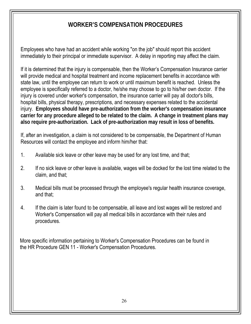## **WORKER'S COMPENSATION PROCEDURES**

Employees who have had an accident while working "on the job" should report this accident immediately to their principal or immediate supervisor. A delay in reporting may affect the claim.

If it is determined that the injury is compensable, then the Worker's Compensation Insurance carrier will provide medical and hospital treatment and income replacement benefits in accordance with state law, until the employee can return to work or until maximum benefit is reached. Unless the employee is specifically referred to a doctor, he/she may choose to go to his/her own doctor. If the injury is covered under worker's compensation, the insurance carrier will pay all doctor's bills, hospital bills, physical therapy, prescriptions, and necessary expenses related to the accidental injury. **Employees should have pre-authorization from the worker's compensation insurance carrier for any procedure alleged to be related to the claim. A change in treatment plans may also require pre-authorization. Lack of pre-authorization may result in loss of benefits.** 

If, after an investigation, a claim is not considered to be compensable, the Department of Human Resources will contact the employee and inform him/her that:

- 1. Available sick leave or other leave may be used for any lost time, and that;
- 2. If no sick leave or other leave is available, wages will be docked for the lost time related to the claim, and that;
- 3. Medical bills must be processed through the employee's regular health insurance coverage, and that;
- 4. If the claim is later found to be compensable, all leave and lost wages will be restored and Worker's Compensation will pay all medical bills in accordance with their rules and procedures.

More specific information pertaining to Worker's Compensation Procedures can be found in the HR Procedure GEN 11 - Worker's Compensation Procedures.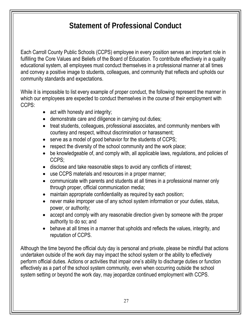## **Statement of Professional Conduct**

Each Carroll County Public Schools (CCPS) employee in every position serves an important role in fulfilling the Core Values and Beliefs of the Board of Education. To contribute effectively in a quality educational system, all employees must conduct themselves in a professional manner at all times and convey a positive image to students, colleagues, and community that reflects and upholds our community standards and expectations.

While it is impossible to list every example of proper conduct, the following represent the manner in which our employees are expected to conduct themselves in the course of their employment with CCPS:

- act with honesty and integrity;
- demonstrate care and diligence in carrying out duties;
- treat students, colleagues, professional associates, and community members with courtesy and respect, without discrimination or harassment;
- serve as a model of good behavior for the students of CCPS;
- respect the diversity of the school community and the work place;
- be knowledgeable of, and comply with, all applicable laws, regulations, and policies of CCPS;
- disclose and take reasonable steps to avoid any conflicts of interest;
- use CCPS materials and resources in a proper manner;
- communicate with parents and students at all times in a professional manner only through proper, official communication media;
- maintain appropriate confidentiality as required by each position;
- never make improper use of any school system information or your duties, status, power, or authority;
- accept and comply with any reasonable direction given by someone with the proper authority to do so; and
- behave at all times in a manner that upholds and reflects the values, integrity, and reputation of CCPS.

Although the time beyond the official duty day is personal and private, please be mindful that actions undertaken outside of the work day may impact the school system or the ability to effectively perform official duties. Actions or activities that impair one's ability to discharge duties or function effectively as a part of the school system community, even when occurring outside the school system setting or beyond the work day, may jeopardize continued employment with CCPS.